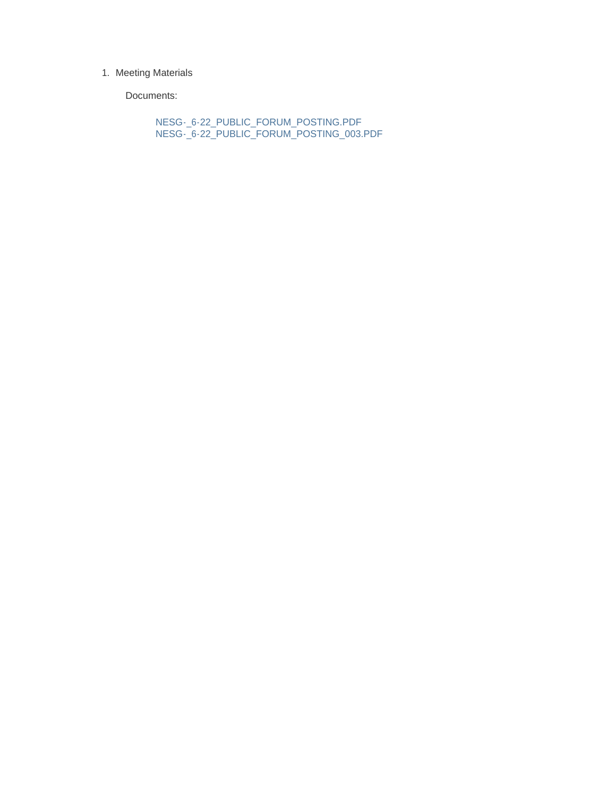#### 1. Meeting Materials

Documents:

NESG-\_6-22\_PUBLIC\_FORUM\_POSTING.PDF NESG-\_6-22\_PUBLIC\_FORUM\_POSTING\_003.PDF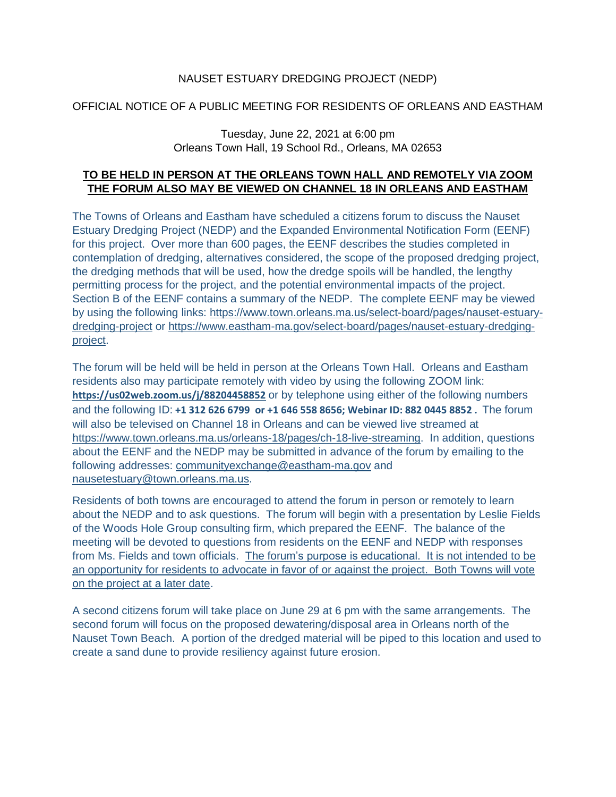## NAUSET ESTUARY DREDGING PROJECT (NEDP)

# OFFICIAL NOTICE OF A PUBLIC MEETING FOR RESIDENTS OF ORLEANS AND EASTHAM

#### Tuesday, June 22, 2021 at 6:00 pm Orleans Town Hall, 19 School Rd., Orleans, MA 02653

### **TO BE HELD IN PERSON AT THE ORLEANS TOWN HALL AND REMOTELY VIA ZOOM THE FORUM ALSO MAY BE VIEWED ON CHANNEL 18 IN ORLEANS AND EASTHAM**

The Towns of Orleans and Eastham have scheduled a citizens forum to discuss the Nauset Estuary Dredging Project (NEDP) and the Expanded Environmental Notification Form (EENF) for this project. Over more than 600 pages, the EENF describes the studies completed in contemplation of dredging, alternatives considered, the scope of the proposed dredging project, the dredging methods that will be used, how the dredge spoils will be handled, the lengthy permitting process for the project, and the potential environmental impacts of the project. Section B of the EENF contains a summary of the NEDP. The complete EENF may be viewed by using the following links: [https://www.town.orleans.ma.us/select-board/pages/nauset-estuary](https://www.town.orleans.ma.us/select-board/pages/nauset-estuary-dredging-project)[dredging-project](https://www.town.orleans.ma.us/select-board/pages/nauset-estuary-dredging-project) or [https://www.eastham-ma.gov/select-board/pages/nauset-estuary-dredging](https://www.eastham-ma.gov/select-board/pages/nauset-estuary-dredging-project)[project.](https://www.eastham-ma.gov/select-board/pages/nauset-estuary-dredging-project)

The forum will be held will be held in person at the Orleans Town Hall. Orleans and Eastham residents also may participate remotely with video by using the following ZOOM link: **<https://us02web.zoom.us/j/88204458852>** or by telephone using either of the following numbers and the following ID: **+1 312 626 6799 or +1 646 558 8656; Webinar ID: 882 0445 8852 .** The forum will also be televised on Channel 18 in Orleans and can be viewed live streamed at [https://www.town.orleans.ma.us/orleans-18/pages/ch-18-live-streaming.](https://www.town.orleans.ma.us/orleans-18/pages/ch-18-live-streaming) In addition, questions about the EENF and the NEDP may be submitted in advance of the forum by emailing to the following addresses: [communityexchange@eastham-ma.gov](mailto:communityexchange@eastham-ma.gov) and [nausetestuary@town.orleans.ma.us.](mailto:nausetestuary@town.orleans.ma.us)

Residents of both towns are encouraged to attend the forum in person or remotely to learn about the NEDP and to ask questions. The forum will begin with a presentation by Leslie Fields of the Woods Hole Group consulting firm, which prepared the EENF. The balance of the meeting will be devoted to questions from residents on the EENF and NEDP with responses from Ms. Fields and town officials. The forum's purpose is educational. It is not intended to be an opportunity for residents to advocate in favor of or against the project. Both Towns will vote on the project at a later date.

A second citizens forum will take place on June 29 at 6 pm with the same arrangements. The second forum will focus on the proposed dewatering/disposal area in Orleans north of the Nauset Town Beach. A portion of the dredged material will be piped to this location and used to create a sand dune to provide resiliency against future erosion.